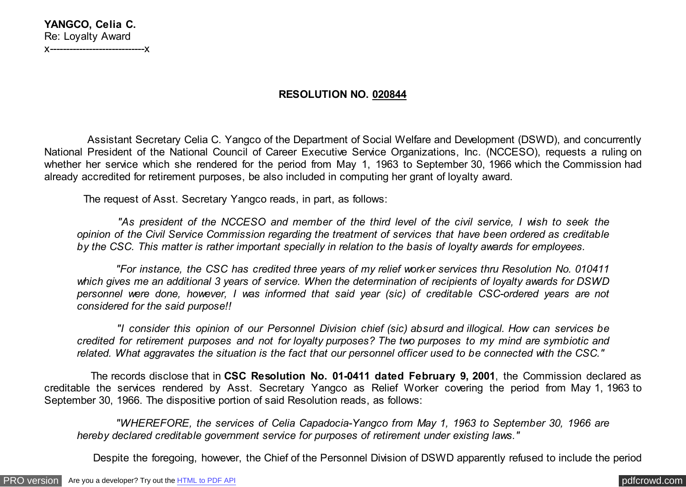| YANGCO, Celia C.                 |
|----------------------------------|
| Re: Loyalty Award                |
| X------------------------------X |

## **RESOLUTION NO. 020844**

 Assistant Secretary Celia C. Yangco of the Department of Social Welfare and Development (DSWD), and concurrently National President of the National Council of Career Executive Service Organizations, Inc. (NCCESO), requests a ruling on whether her service which she rendered for the period from May 1, 1963 to September 30, 1966 which the Commission had already accredited for retirement purposes, be also included in computing her grant of loyalty award.

The request of Asst. Secretary Yangco reads, in part, as follows:

 *"As president of the NCCESO and member of the third level of the civil service, I wish to seek the opinion of the Civil Service Commission regarding the treatment of services that have been ordered as creditable by the CSC. This matter is rather important specially in relation to the basis of loyalty awards for employees.*

 *"For instance, the CSC has credited three years of my relief worker services thru Resolution No. 010411 which gives me an additional 3 years of service. When the determination of recipients of loyalty awards for DSWD personnel were done, however, I was informed that said year (sic) of creditable CSC-ordered years are not considered for the said purpose!!*

 *"I consider this opinion of our Personnel Division chief (sic) absurd and illogical. How can services be credited for retirement purposes and not for loyalty purposes? The two purposes to my mind are symbiotic and related. What aggravates the situation is the fact that our personnel officer used to be connected with the CSC."*

 The records disclose that in **CSC Resolution No. 01-0411 dated February 9, 2001**, the Commission declared as creditable the services rendered by Asst. Secretary Yangco as Relief Worker covering the period from May 1, 1963 to September 30, 1966. The dispositive portion of said Resolution reads, as follows:

 *"WHEREFORE, the services of Celia Capadocia-Yangco from May 1, 1963 to September 30, 1966 are hereby declared creditable government service for purposes of retirement under existing laws."*

Despite the foregoing, however, the Chief of the Personnel Division of DSWD apparently refused to include the period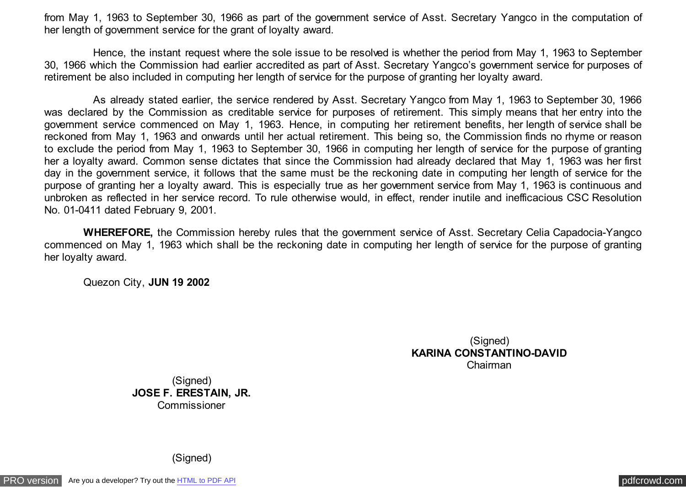from May 1, 1963 to September 30, 1966 as part of the government service of Asst. Secretary Yangco in the computation of her length of government service for the grant of loyalty award.

 Hence, the instant request where the sole issue to be resolved is whether the period from May 1, 1963 to September 30, 1966 which the Commission had earlier accredited as part of Asst. Secretary Yangco's government service for purposes of retirement be also included in computing her length of service for the purpose of granting her loyalty award.

 As already stated earlier, the service rendered by Asst. Secretary Yangco from May 1, 1963 to September 30, 1966 was declared by the Commission as creditable service for purposes of retirement. This simply means that her entry into the government service commenced on May 1, 1963. Hence, in computing her retirement benefits, her length of service shall be reckoned from May 1, 1963 and onwards until her actual retirement. This being so, the Commission finds no rhyme or reason to exclude the period from May 1, 1963 to September 30, 1966 in computing her length of service for the purpose of granting her a loyalty award. Common sense dictates that since the Commission had already declared that May 1, 1963 was her first day in the government service, it follows that the same must be the reckoning date in computing her length of service for the purpose of granting her a loyalty award. This is especially true as her government service from May 1, 1963 is continuous and unbroken as reflected in her service record. To rule otherwise would, in effect, render inutile and inefficacious CSC Resolution No. 01-0411 dated February 9, 2001.

 **WHEREFORE,** the Commission hereby rules that the government service of Asst. Secretary Celia Capadocia-Yangco commenced on May 1, 1963 which shall be the reckoning date in computing her length of service for the purpose of granting her loyalty award.

Quezon City, **JUN 19 2002**

(Signed) **KARINA CONSTANTINO-DAVID** Chairman

(Signed) **JOSE F. ERESTAIN, JR.** Commissioner

(Signed)